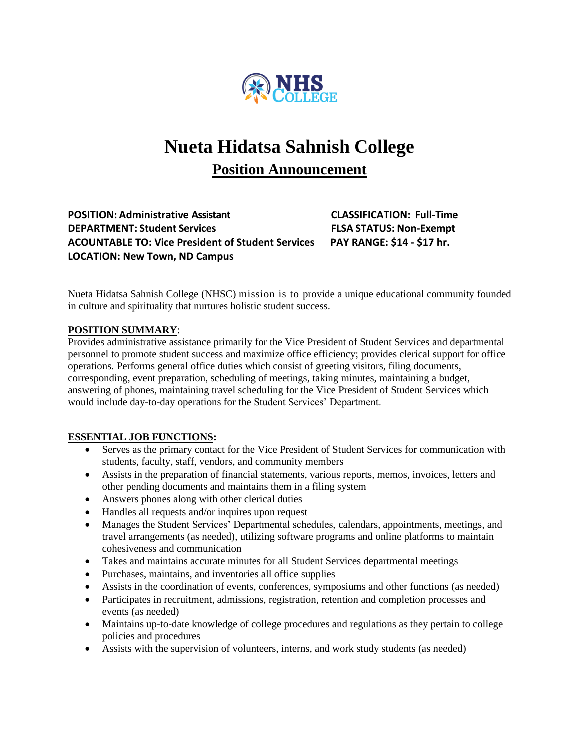

# **Nueta Hidatsa Sahnish College**

# **Position Announcement**

**POSITION: Administrative Assistant CLASSIFICATION: Full-Time DEPARTMENT: Student Services FLSA STATUS: Non-Exempt ACOUNTABLE TO: Vice President of Student Services PAY RANGE: \$14 - \$17 hr. LOCATION: New Town, ND Campus** 

Nueta Hidatsa Sahnish College (NHSC) mission is to provide a unique educational community founded in culture and spirituality that nurtures holistic student success.

#### **POSITION SUMMARY**:

Provides administrative assistance primarily for the Vice President of Student Services and departmental personnel to promote student success and maximize office efficiency; provides clerical support for office operations. Performs general office duties which consist of greeting visitors, filing documents, corresponding, event preparation, scheduling of meetings, taking minutes, maintaining a budget, answering of phones, maintaining travel scheduling for the Vice President of Student Services which would include day-to-day operations for the Student Services' Department.

#### **ESSENTIAL JOB FUNCTIONS:**

- Serves as the primary contact for the Vice President of Student Services for communication with students, faculty, staff, vendors, and community members
- Assists in the preparation of financial statements, various reports, memos, invoices, letters and other pending documents and maintains them in a filing system
- Answers phones along with other clerical duties
- Handles all requests and/or inquires upon request
- Manages the Student Services' Departmental schedules, calendars, appointments, meetings, and travel arrangements (as needed), utilizing software programs and online platforms to maintain cohesiveness and communication
- Takes and maintains accurate minutes for all Student Services departmental meetings
- Purchases, maintains, and inventories all office supplies
- Assists in the coordination of events, conferences, symposiums and other functions (as needed)
- Participates in recruitment, admissions, registration, retention and completion processes and events (as needed)
- Maintains up-to-date knowledge of college procedures and regulations as they pertain to college policies and procedures
- Assists with the supervision of volunteers, interns, and work study students (as needed)